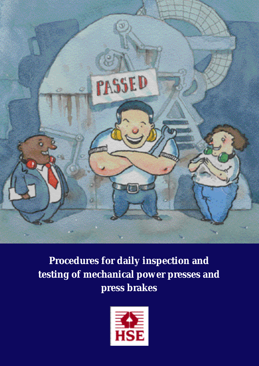

**Procedures for daily inspection and testing of mechanical power presses and press brakes** 

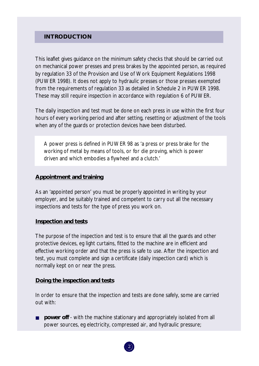## **INTRODUCTION**

This leaflet gives guidance on the minimum safety checks that should be carried out on mechanical power presses and press brakes by the appointed person, as required by regulation 33 of the Provision and Use of Work Equipment Regulations 1998 (PUWER 1998). It does not apply to hydraulic presses or those presses exempted from the requirements of regulation 33 as detailed in Schedule 2 in PUWER 1998. These may still require inspection in accordance with regulation 6 of PUWER.

The daily inspection and test must be done on each press in use within the first four hours of every working period and after setting, resetting or adjustment of the tools when any of the guards or protection devices have been disturbed.

working of metal by means of tools, or for die proving, which is power driven and which embodies a flywheel and a clutch.' A power press is defined in PUWER 98 as 'a press or press brake for the

#### **Appointment and training**

As an 'appointed person' you must be properly appointed in writing by your employer, and be suitably trained and competent to carry out all the necessary inspections and tests for the type of press you work on.

#### **Inspection and tests**

The purpose of the inspection and test is to ensure that all the guards and other protective devices, eg light curtains, fitted to the machine are in efficient and effective working order and that the press is safe to use. After the inspection and test, you must complete and sign a certificate (daily inspection card) which is normally kept on or near the press.

#### **Doing the inspection and tests**

In order to ensure that the inspection and tests are done safely, some are carried out with:

**power off** - with the machine stationary and appropriately isolated from all power sources, eg electricity, compressed air, and hydraulic pressure;

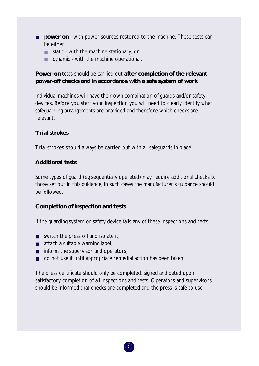- **power on** with power sources restored to the machine. These tests can be either:
	- *static* with the machine stationary; or
	- *dynamic* with the machine operational.

# **Power-on** tests should be carried out **after completion of the relevant power-off checks and in accordance with a safe system of work**.

Individual machines will have their own combination of guards and/or safety devices. Before you start your inspection you will need to clearly identify what safeguarding arrangements are provided and therefore which checks are relevant.

# **Trial strokes**

Trial strokes should always be carried out with all safeguards in place.

# **Additional tests**

Some types of guard (eg sequentially operated) may require additional checks to those set out in this guidance; in such cases the manufacturer's guidance should be followed.

# **Completion of inspection and tests**

If the guarding system or safety device fails any of these inspections and tests:

- switch the press off and isolate it;
- attach a suitable warning label;
- inform the supervisor and operators;
- do not use it until appropriate remedial action has been taken.

The press certificate should only be completed, signed and dated upon satisfactory completion of all inspections and tests. Operators and supervisors should be informed that checks are completed and the press is safe to use.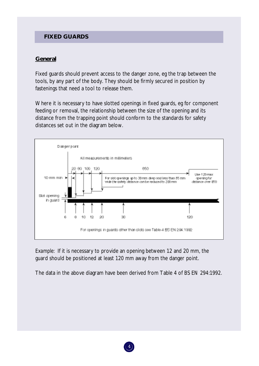# **FIXED GUARDS**

# **General**

Fixed guards should prevent access to the danger zone, eg the trap between the tools, by any part of the body. They should be firmly secured in position by fastenings that need a tool to release them.

Where it is necessary to have slotted openings in fixed guards, eg for component feeding or removal, the relationship between the size of the opening and its distance from the trapping point should conform to the standards for safety distances set out in the diagram below.



*Example:* If it is necessary to provide an opening between 12 and 20 mm, the guard should be positioned at least 120 mm away from the danger point.

The data in the above diagram have been derived from Table 4 of BS EN 294:1992.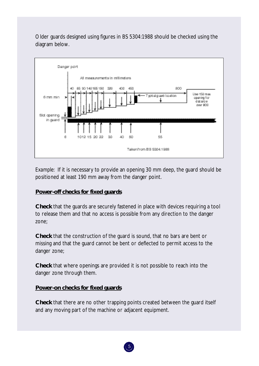Older guards designed using figures in BS 5304:1988 should be checked using the diagram below.



*Example:* If it is necessary to provide an opening 30 mm deep, the guard should be positioned at least 190 mm away from the danger point.

# **Power-off checks for fixed guards**

**Check** that the guards are securely fastened in place with devices requiring a tool to release them and that no access is possible from any direction to the danger zone;

**Check** that the construction of the guard is sound, that no bars are bent or missing and that the guard cannot be bent or deflected to permit access to the danger zone;

**Check** that where openings are provided it is not possible to reach into the danger zone through them.

# **Power-on checks for fixed guards**

**Check** that there are no other trapping points created between the guard itself and any moving part of the machine or adjacent equipment.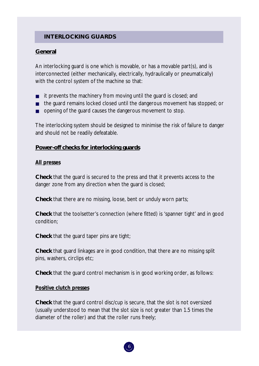# **INTERLOCKING GUARDS**

# **General**

An interlocking guard is one which is movable, or has a movable part(s), and is interconnected (either mechanically, electrically, hydraulically or pneumatically) with the control system of the machine so that:

- it prevents the machinery from moving until the guard is closed; and
- the guard remains locked closed until the dangerous movement has stopped; or
- opening of the guard causes the dangerous movement to stop.

The interlocking system should be designed to minimise the risk of failure to danger and should not be readily defeatable.

# **Power-off checks for interlocking guards**

#### *All presses*

**Check** that the guard is secured to the press and that it prevents access to the danger zone from any direction when the guard is closed;

**Check** that there are no missing, loose, bent or unduly worn parts;

**Check** that the toolsetter's connection (where fitted) is 'spanner tight' and in good condition;

**Check** that the guard taper pins are tight;

**Check** that guard linkages are in good condition, that there are no missing split pins, washers, circlips etc;

**Check** that the guard control mechanism is in good working order, as follows:

# *Positive clutch presses*

**Check** that the guard control disc/cup is secure, that the slot is not oversized (usually understood to mean that the slot size is not greater than 1.5 times the diameter of the roller) and that the roller runs freely;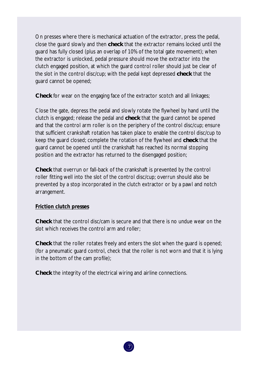On presses where there is mechanical actuation of the extractor, press the pedal, close the guard slowly and then **check** that the extractor remains locked until the guard has fully closed (plus an overlap of 10% of the total gate movement); when the extractor is unlocked, pedal pressure should move the extractor into the clutch engaged position, at which the guard control roller should just be clear of the slot in the control disc/cup; with the pedal kept depressed **check** that the guard cannot be opened;

**Check** for wear on the engaging face of the extractor scotch and all linkages;

Close the gate, depress the pedal and slowly rotate the flywheel by hand until the clutch is engaged; release the pedal and **check** that the guard cannot be opened and that the control arm roller is on the periphery of the control disc/cup; ensure that sufficient crankshaft rotation has taken place to enable the control disc/cup to keep the guard closed; complete the rotation of the flywheel and **check** that the guard cannot be opened until the crankshaft has reached its normal stopping position and the extractor has returned to the disengaged position;

**Check** that overrun or fall-back of the crankshaft is prevented by the control roller fitting well into the slot of the control disc/cup; overrun should also be prevented by a stop incorporated in the clutch extractor or by a pawl and notch arrangement.

#### *Friction clutch presses*

**Check** that the control disc/cam is secure and that there is no undue wear on the slot which receives the control arm and roller;

**Check** that the roller rotates freely and enters the slot when the guard is opened; (for a pneumatic guard control, check that the roller is not worn and that it is lying in the bottom of the cam profile);

**Check** the integrity of the electrical wiring and airline connections.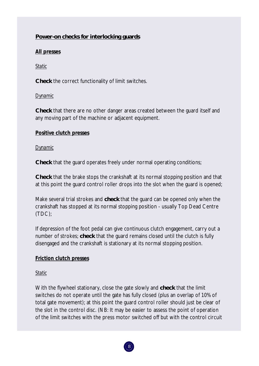# **Power-on checks for interlocking guards**

# *All presses*

*Static* 

**Check** the correct functionality of limit switches.

# *Dynamic*

**Check** that there are no other danger areas created between the guard itself and any moving part of the machine or adjacent equipment.

# *Positive clutch presses*

# *Dynamic*

**Check** that the guard operates freely under normal operating conditions;

**Check** that the brake stops the crankshaft at its normal stopping position and that at this point the guard control roller drops into the slot when the guard is opened;

Make several trial strokes and **check** that the guard can be opened only when the crankshaft has stopped at its normal stopping position - usually Top Dead Centre (TDC);

If depression of the foot pedal can give continuous clutch engagement, carry out a number of strokes; **check** that the guard remains closed until the clutch is fully disengaged and the crankshaft is stationary at its normal stopping position.

# *Friction clutch presses*

# *Static*

With the flywheel stationary, close the gate slowly and **check** that the limit switches do not operate until the gate has fully closed (plus an overlap of 10% of total gate movement); at this point the guard control roller should just be clear of the slot in the control disc. (NB: It may be easier to assess the point of operation of the limit switches with the press motor switched off but with the control circuit

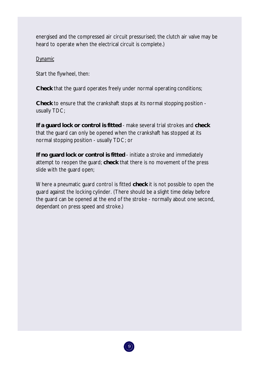energised and the compressed air circuit pressurised; the clutch air valve may be heard to operate when the electrical circuit is complete.)

# *Dynamic*

Start the flywheel, then:

**Check** that the guard operates freely under normal operating conditions;

**Check** to ensure that the crankshaft stops at its normal stopping position usually TDC;

**If a guard lock or control is fitted** - make several trial strokes and **check**  that the guard can only be opened when the crankshaft has stopped at its normal stopping position - usually TDC; or

**If no guard lock or control is fitted** - initiate a stroke and immediately attempt to reopen the guard; **check** that there is no movement of the press slide with the guard open;

Where a pneumatic guard control is fitted **check** it is not possible to open the guard against the locking cylinder. (There should be a slight time delay before the guard can be opened at the end of the stroke - normally about one second, dependant on press speed and stroke.)

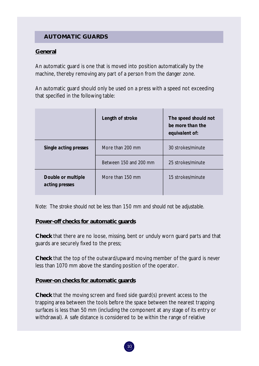# **AUTOMATIC GUARDS**

# **General**

An automatic guard is one that is moved into position automatically by the machine, thereby removing any part of a person from the danger zone.

An automatic guard should only be used on a press with a speed not exceeding that specified in the following table:

|                                      | Length of stroke       | The speed should not<br>be more than the<br>equivalent of: |
|--------------------------------------|------------------------|------------------------------------------------------------|
| <b>Single acting presses</b>         | More than 200 mm       | 30 strokes/minute                                          |
|                                      | Between 150 and 200 mm | 25 strokes/minute                                          |
| Double or multiple<br>acting presses | More than 150 mm       | 15 strokes/minute                                          |

*Note: The stroke should not be less than 150 mm and should not be adjustable.* 

# **Power-off checks for automatic guards**

**Check** that there are no loose, missing, bent or unduly worn guard parts and that guards are securely fixed to the press;

**Check** that the top of the outward/upward moving member of the guard is never less than 1070 mm above the standing position of the operator.

# **Power-on checks for automatic guards**

**Check** that the moving screen and fixed side guard(s) prevent access to the trapping area between the tools before the space between the nearest trapping surfaces is less than 50 mm (including the component at any stage of its entry or withdrawal). A safe distance is considered to be within the range of relative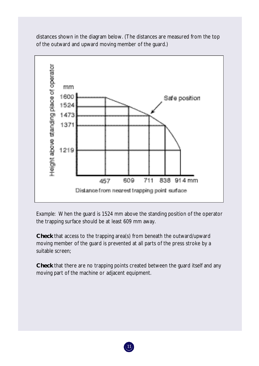distances shown in the diagram below. (The distances are measured from the top of the outward and upward moving member of the guard.)



*Example:* When the guard is 1524 mm above the standing position of the operator the trapping surface should be at least 609 mm away.

**Check** that access to the trapping area(s) from beneath the outward/upward moving member of the guard is prevented at all parts of the press stroke by a suitable screen;

**Check** that there are no trapping points created between the guard itself and any moving part of the machine or adjacent equipment.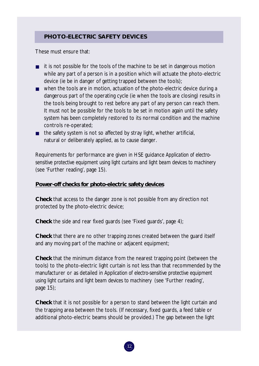# **PHOTO-ELECTRIC SAFETY DEVICES**

These must ensure that:

- it is not possible for the tools of the machine to be set in dangerous motion while any part of a person is in a position which will actuate the photo-electric device (ie be in danger of getting trapped between the tools);
- when the tools are in motion, actuation of the photo-electric device during a dangerous part of the operating cycle (ie when the tools are closing) results in the tools being brought to rest before any part of any person can reach them. It must not be possible for the tools to be set in motion again until the safety system has been completely restored to its normal condition and the machine controls re-operated;
- the safety system is not so affected by stray light, whether artificial, natural or deliberately applied, as to cause danger.

Requirements for performance are given in HSE guidance *Application of electrosensitive protective equipment using light curtains and light beam devices to machinery*  (see 'Further reading', page 15).

# **Power-off checks for photo-electric safety devices**

**Check** that access to the danger zone is not possible from any direction not protected by the photo-electric device;

**Check** the side and rear fixed guards (see 'Fixed guards', page 4);

**Check** that there are no other trapping zones created between the guard itself and any moving part of the machine or adjacent equipment;

**Check** that the minimum distance from the nearest trapping point (between the tools) to the photo-electric light curtain is not less than that recommended by the manufacturer or as detailed in *Application of electro-sensitive protective equipment using light curtains and light beam devices to machinery* (see 'Further reading', page 15);

**Check** that it is not possible for a person to stand between the light curtain and the trapping area between the tools. (If necessary, fixed guards, a feed table or additional photo-electric beams should be provided.) The gap between the light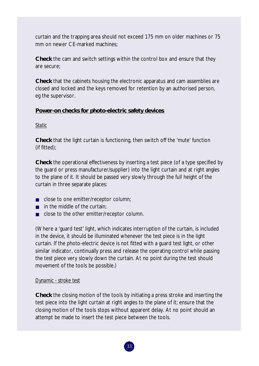curtain and the trapping area should not exceed 175 mm on older machines or 75 mm on newer CE-marked machines;

**Check** the cam and switch settings within the control box and ensure that they are secure;

**Check** that the cabinets housing the electronic apparatus and cam assemblies are closed and locked and the keys removed for retention by an authorised person, eg the supervisor.

# **Power-on checks for photo-electric safety devices**

# *Static*

**Check** that the light curtain is functioning, then switch off the 'mute' function (if fitted);

**Check** the operational effectiveness by inserting a test piece (of a type specified by the guard or press manufacturer/supplier) into the light curtain and at right angles to the plane of it. It should be passed very slowly through the full height of the curtain in three separate places:

- close to one emitter/receptor column;
- in the middle of the curtain;
- close to the other emitter/receptor column.

(Where a 'guard test' light, which indicates interruption of the curtain, is included in the device, it should be illuminated whenever the test piece is in the light curtain. If the photo-electric device is not fitted with a guard test light, or other similar indicator, continually press and release the operating control while passing the test piece very slowly down the curtain. At no point during the test should movement of the tools be possible.)

# *Dynamic - stroke test*

**Check** the closing motion of the tools by initiating a press stroke and inserting the test piece into the light curtain at right angles to the plane of it; ensure that the closing motion of the tools stops without apparent delay. At no point should an attempt be made to insert the test piece between the tools.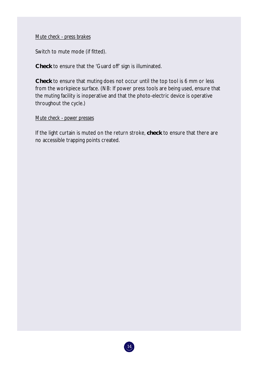# *Mute check - press brakes*

Switch to mute mode (if fitted).

**Check** to ensure that the 'Guard off' sign is illuminated.

**Check** to ensure that muting does not occur until the top tool is 6 mm or less from the workpiece surface. (NB: If power press tools are being used, ensure that the muting facility is inoperative and that the photo-electric device is operative throughout the cycle.)

#### *Mute check - power presses*

If the light curtain is muted on the return stroke, **check** to ensure that there are no accessible trapping points created.

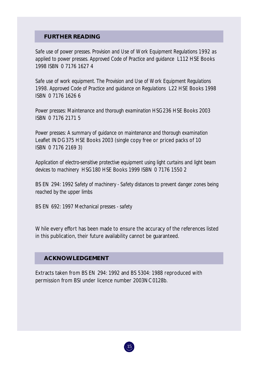# **FURTHER READING**

*Safe use of power presses. Provision and Use of Work Equipment Regulations 1992 as applied to power presses. Approved Code of Practice and guidance* L112 HSE Books 1998 ISBN 0 7176 1627 4

*Safe use of work equipment. The Provision and Use of Work Equipment Regulations 1998. Approved Code of Practice and guidance on Regulations* L22 HSE Books 1998 ISBN 0 7176 1626 6

*Power presses: Maintenance and thorough examination* HSG236 HSE Books 2003 ISBN 0 7176 2171 5

*Power presses: A summary of guidance on maintenance and thorough examination*  Leaflet INDG375 HSE Books 2003 (single copy free or priced packs of 10 ISBN 0 7176 2169 3)

*Application of electro-sensitive protective equipment using light curtains and light beam devices to machinery* HSG180 HSE Books 1999 ISBN 0 7176 1550 2

BS EN 294: 1992 *Safety of machinery - Safety distances to prevent danger zones being reached by the upper limbs* 

BS EN 692: 1997 *Mechanical presses - safety* 

While every effort has been made to ensure the accuracy of the references listed in this publication, their future availability cannot be guaranteed.

# **ACKNOWLEDGEMENT**

Extracts taken from BS EN 294: 1992 and BS 5304: 1988 reproduced with permission from BSI under licence number 2003NC0128b.